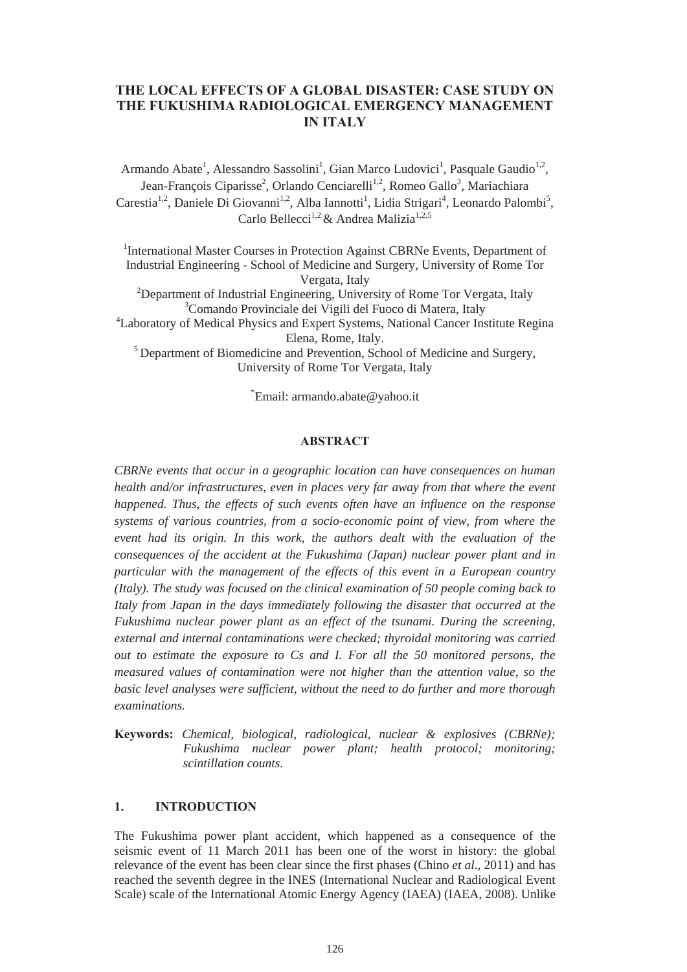# **THE LOCAL EFFECTS OF A GLOBAL DISASTER: CASE STUDY ON THE FUKUSHIMA RADIOLOGICAL EMERGENCY MANAGEMENT IN ITALY**

Armando Abate<sup>1</sup>, Alessandro Sassolini<sup>1</sup>, Gian Marco Ludovici<sup>1</sup>, Pasquale Gaudio<sup>1,2</sup>, Jean-François Ciparisse<sup>2</sup>, Orlando Cenciarelli<sup>1,2</sup>, Romeo Gallo<sup>3</sup>, Mariachiara Carestia<sup>1,2</sup>, Daniele Di Giovanni<sup>1,2</sup>, Alba Iannotti<sup>1</sup>, Lidia Strigari<sup>4</sup>, Leonardo Palombi<sup>5</sup>, Carlo Bellecci<sup>1,2</sup> & Andrea Malizia<sup>1,2,5</sup>

<sup>1</sup>International Master Courses in Protection Against CBRNe Events, Department of Industrial Engineering - School of Medicine and Surgery, University of Rome Tor Vergata, Italy <sup>2</sup>Department of Industrial Engineering, University of Rome Tor Vergata, Italy 3 Comando Provinciale dei Vigili del Fuoco di Matera, Italy 4 Laboratory of Medical Physics and Expert Systems, National Cancer Institute Regina Elena, Rome, Italy.

5 Department of Biomedicine and Prevention, School of Medicine and Surgery, University of Rome Tor Vergata, Italy

\* Email: armando.abate@yahoo.it

## **ABSTRACT**

*CBRNe events that occur in a geographic location can have consequences on human health and/or infrastructures, even in places very far away from that where the event happened. Thus, the effects of such events often have an influence on the response systems of various countries, from a socio-economic point of view, from where the event had its origin. In this work, the authors dealt with the evaluation of the consequences of the accident at the Fukushima (Japan) nuclear power plant and in particular with the management of the effects of this event in a European country (Italy). The study was focused on the clinical examination of 50 people coming back to Italy from Japan in the days immediately following the disaster that occurred at the Fukushima nuclear power plant as an effect of the tsunami. During the screening, external and internal contaminations were checked; thyroidal monitoring was carried out to estimate the exposure to Cs and I. For all the 50 monitored persons, the measured values of contamination were not higher than the attention value, so the basic level analyses were sufficient, without the need to do further and more thorough examinations.*

**Keywords:** *Chemical, biological, radiological, nuclear & explosives (CBRNe); Fukushima nuclear power plant; health protocol; monitoring; scintillation counts.*

### **1. INTRODUCTION**

The Fukushima power plant accident, which happened as a consequence of the seismic event of 11 March 2011 has been one of the worst in history: the global relevance of the event has been clear since the first phases (Chino *et al*., 2011) and has reached the seventh degree in the INES (International Nuclear and Radiological Event Scale) scale of the International Atomic Energy Agency (IAEA) (IAEA, 2008). Unlike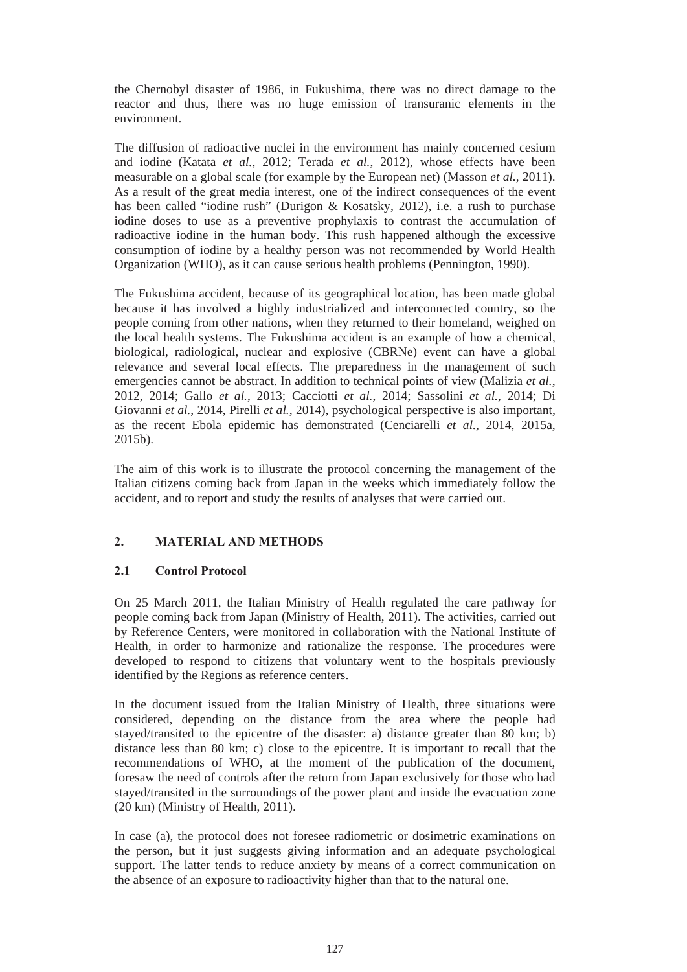the Chernobyl disaster of 1986, in Fukushima, there was no direct damage to the reactor and thus, there was no huge emission of transuranic elements in the environment.

The diffusion of radioactive nuclei in the environment has mainly concerned cesium and iodine (Katata *et al.*, 2012; Terada *et al.*, 2012), whose effects have been measurable on a global scale (for example by the European net) (Masson *et al.*, 2011). As a result of the great media interest, one of the indirect consequences of the event has been called "iodine rush" (Durigon & Kosatsky, 2012), i.e. a rush to purchase iodine doses to use as a preventive prophylaxis to contrast the accumulation of radioactive iodine in the human body. This rush happened although the excessive consumption of iodine by a healthy person was not recommended by World Health Organization (WHO), as it can cause serious health problems (Pennington, 1990).

The Fukushima accident, because of its geographical location, has been made global because it has involved a highly industrialized and interconnected country, so the people coming from other nations, when they returned to their homeland, weighed on the local health systems. The Fukushima accident is an example of how a chemical, biological, radiological, nuclear and explosive (CBRNe) event can have a global relevance and several local effects. The preparedness in the management of such emergencies cannot be abstract. In addition to technical points of view (Malizia *et al.*, 2012, 2014; Gallo *et al.*, 2013; Cacciotti *et al.*, 2014; Sassolini *et al.*, 2014; Di Giovanni *et al.*, 2014, Pirelli *et al.*, 2014), psychological perspective is also important, as the recent Ebola epidemic has demonstrated (Cenciarelli *et al.*, 2014, 2015a, 2015b).

The aim of this work is to illustrate the protocol concerning the management of the Italian citizens coming back from Japan in the weeks which immediately follow the accident, and to report and study the results of analyses that were carried out.

# **2. MATERIAL AND METHODS**

# **2.1 Control Protocol**

On 25 March 2011, the Italian Ministry of Health regulated the care pathway for people coming back from Japan (Ministry of Health, 2011). The activities, carried out by Reference Centers, were monitored in collaboration with the National Institute of Health, in order to harmonize and rationalize the response. The procedures were developed to respond to citizens that voluntary went to the hospitals previously identified by the Regions as reference centers.

In the document issued from the Italian Ministry of Health, three situations were considered, depending on the distance from the area where the people had stayed/transited to the epicentre of the disaster: a) distance greater than 80 km; b) distance less than 80 km; c) close to the epicentre. It is important to recall that the recommendations of WHO, at the moment of the publication of the document, foresaw the need of controls after the return from Japan exclusively for those who had stayed/transited in the surroundings of the power plant and inside the evacuation zone (20 km) (Ministry of Health, 2011).

In case (a), the protocol does not foresee radiometric or dosimetric examinations on the person, but it just suggests giving information and an adequate psychological support. The latter tends to reduce anxiety by means of a correct communication on the absence of an exposure to radioactivity higher than that to the natural one.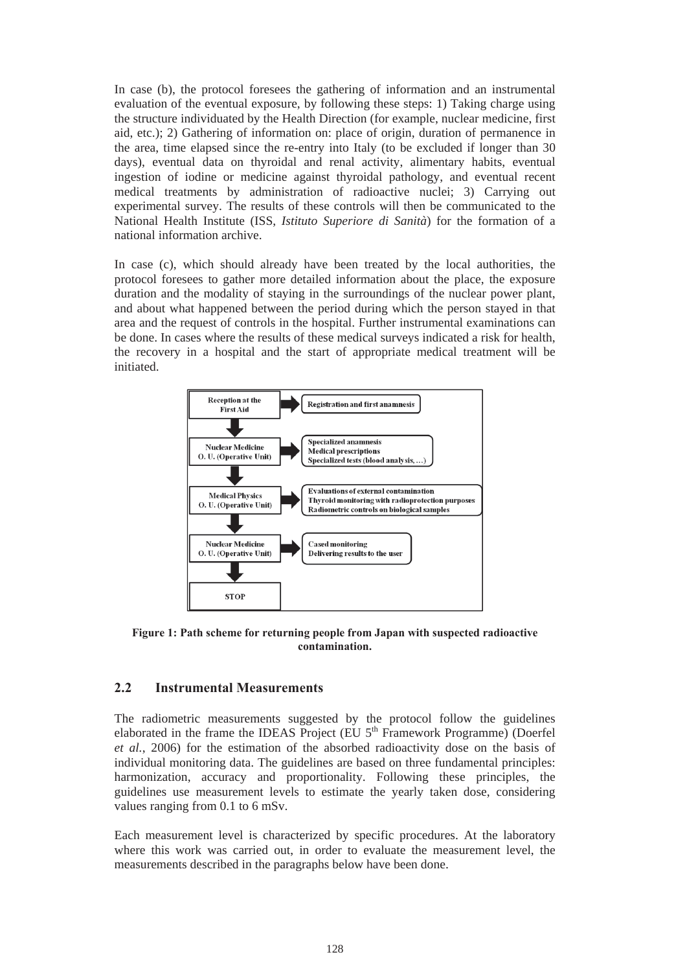In case (b), the protocol foresees the gathering of information and an instrumental evaluation of the eventual exposure, by following these steps: 1) Taking charge using the structure individuated by the Health Direction (for example, nuclear medicine, first aid, etc.); 2) Gathering of information on: place of origin, duration of permanence in the area, time elapsed since the re-entry into Italy (to be excluded if longer than 30 days), eventual data on thyroidal and renal activity, alimentary habits, eventual ingestion of iodine or medicine against thyroidal pathology, and eventual recent medical treatments by administration of radioactive nuclei; 3) Carrying out experimental survey. The results of these controls will then be communicated to the National Health Institute (ISS, *Istituto Superiore di Sanità*) for the formation of a national information archive.

In case (c), which should already have been treated by the local authorities, the protocol foresees to gather more detailed information about the place, the exposure duration and the modality of staying in the surroundings of the nuclear power plant, and about what happened between the period during which the person stayed in that area and the request of controls in the hospital. Further instrumental examinations can be done. In cases where the results of these medical surveys indicated a risk for health, the recovery in a hospital and the start of appropriate medical treatment will be initiated.



**Figure 1: Path scheme for returning people from Japan with suspected radioactive contamination.** 

## **2.2 Instrumental Measurements**

The radiometric measurements suggested by the protocol follow the guidelines elaborated in the frame the IDEAS Project (EU  $5<sup>th</sup>$  Framework Programme) (Doerfel *et al.*, 2006) for the estimation of the absorbed radioactivity dose on the basis of individual monitoring data. The guidelines are based on three fundamental principles: harmonization, accuracy and proportionality. Following these principles, the guidelines use measurement levels to estimate the yearly taken dose, considering values ranging from 0.1 to 6 mSv.

Each measurement level is characterized by specific procedures. At the laboratory where this work was carried out, in order to evaluate the measurement level, the measurements described in the paragraphs below have been done.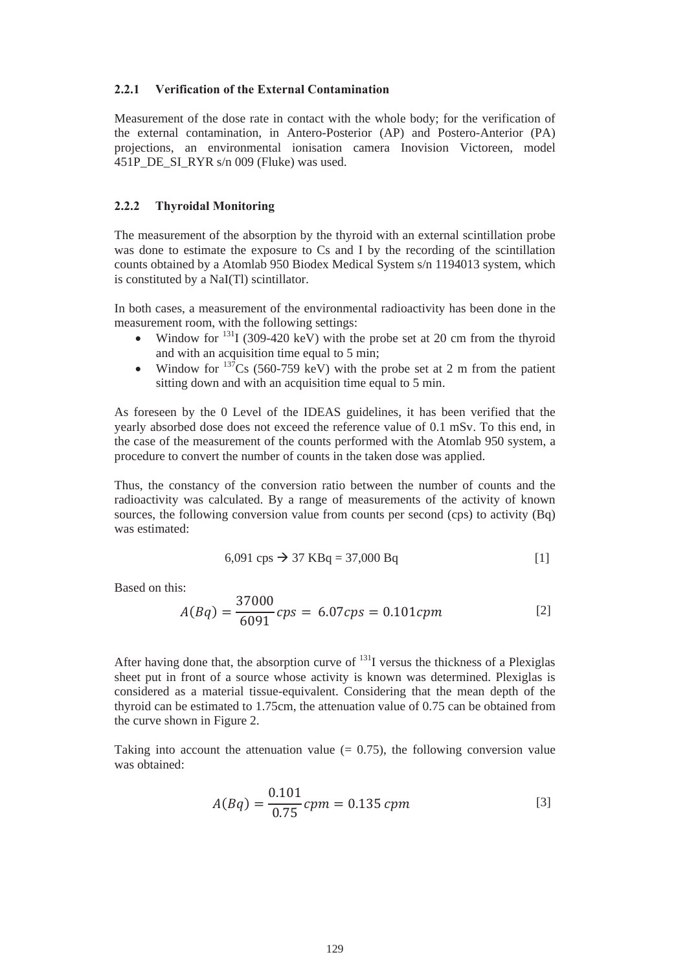## **2.2.1 Verification of the External Contamination**

Measurement of the dose rate in contact with the whole body; for the verification of the external contamination, in Antero-Posterior (AP) and Postero-Anterior (PA) projections, an environmental ionisation camera Inovision Victoreen, model 451P\_DE\_SI\_RYR s/n 009 (Fluke) was used.

#### **2.2.2 Thyroidal Monitoring**

The measurement of the absorption by the thyroid with an external scintillation probe was done to estimate the exposure to Cs and I by the recording of the scintillation counts obtained by a Atomlab 950 Biodex Medical System s/n 1194013 system, which is constituted by a NaI(Tl) scintillator.

In both cases, a measurement of the environmental radioactivity has been done in the measurement room, with the following settings:

- Window for  $^{131}I$  (309-420 keV) with the probe set at 20 cm from the thyroid and with an acquisition time equal to 5 min;
- Window for  $137Cs$  (560-759 keV) with the probe set at 2 m from the patient sitting down and with an acquisition time equal to 5 min.

As foreseen by the 0 Level of the IDEAS guidelines, it has been verified that the yearly absorbed dose does not exceed the reference value of 0.1 mSv. To this end, in the case of the measurement of the counts performed with the Atomlab 950 system, a procedure to convert the number of counts in the taken dose was applied.

Thus, the constancy of the conversion ratio between the number of counts and the radioactivity was calculated. By a range of measurements of the activity of known sources, the following conversion value from counts per second (cps) to activity (Bq) was estimated:

$$
6,091 \text{ cps} \to 37 \text{ KBq} = 37,000 \text{ Bq}
$$
 [1]

Based on this:

$$
A(Bq) = \frac{37000}{6091} \text{cps} = 6.07 \text{cps} = 0.101 \text{cpm}
$$
 [2]

After having done that, the absorption curve of  $^{131}I$  versus the thickness of a Plexiglas sheet put in front of a source whose activity is known was determined. Plexiglas is considered as a material tissue-equivalent. Considering that the mean depth of the thyroid can be estimated to 1.75cm, the attenuation value of 0.75 can be obtained from the curve shown in Figure 2.

Taking into account the attenuation value  $(= 0.75)$ , the following conversion value was obtained:

$$
A(Bq) = \frac{0.101}{0.75} \, \text{cpm} = 0.135 \, \text{cpm} \tag{3}
$$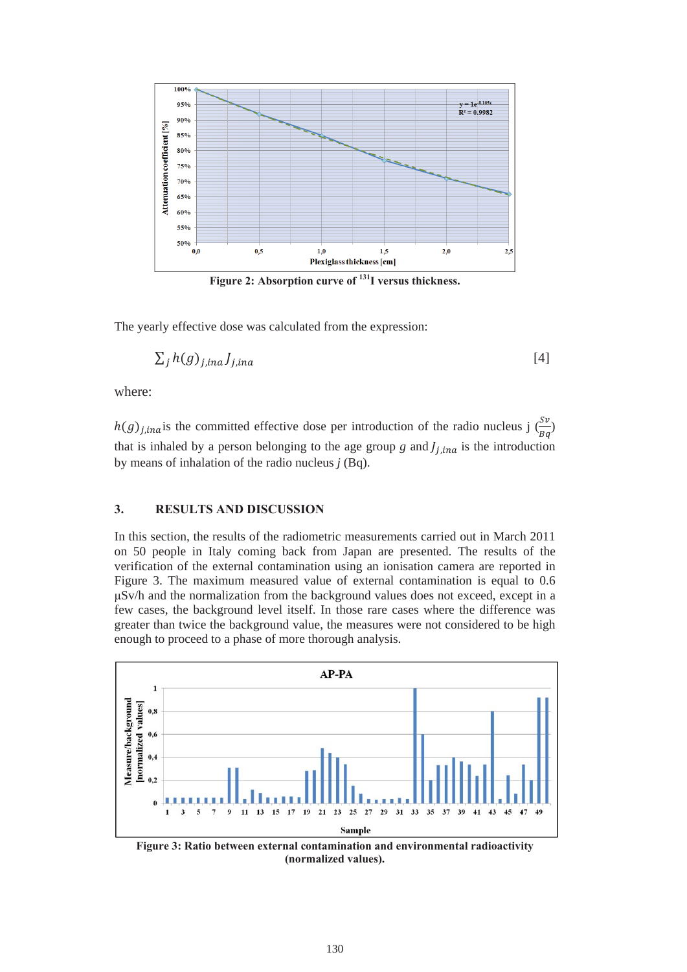

Figure 2: Absorption curve of <sup>131</sup>I versus thickness.

The yearly effective dose was calculated from the expression:

$$
\sum_{j} h(g)_{j, ina} J_{j, ina} \tag{4}
$$

where:

 $h(g)_{j, ina}$  is the committed effective dose per introduction of the radio nucleus j  $\left(\frac{sv}{Bq}\right)$ that is inhaled by a person belonging to the age group  $g$  and  $J_{j,ina}$  is the introduction by means of inhalation of the radio nucleus *j* (Bq).

#### **3. RESULTS AND DISCUSSION**

In this section, the results of the radiometric measurements carried out in March 2011 on 50 people in Italy coming back from Japan are presented. The results of the verification of the external contamination using an ionisation camera are reported in Figure 3. The maximum measured value of external contamination is equal to 0.6 ȝSv/h and the normalization from the background values does not exceed, except in a few cases, the background level itself. In those rare cases where the difference was greater than twice the background value, the measures were not considered to be high enough to proceed to a phase of more thorough analysis.



**Figure 3: Ratio between external contamination and environmental radioactivity (normalized values).**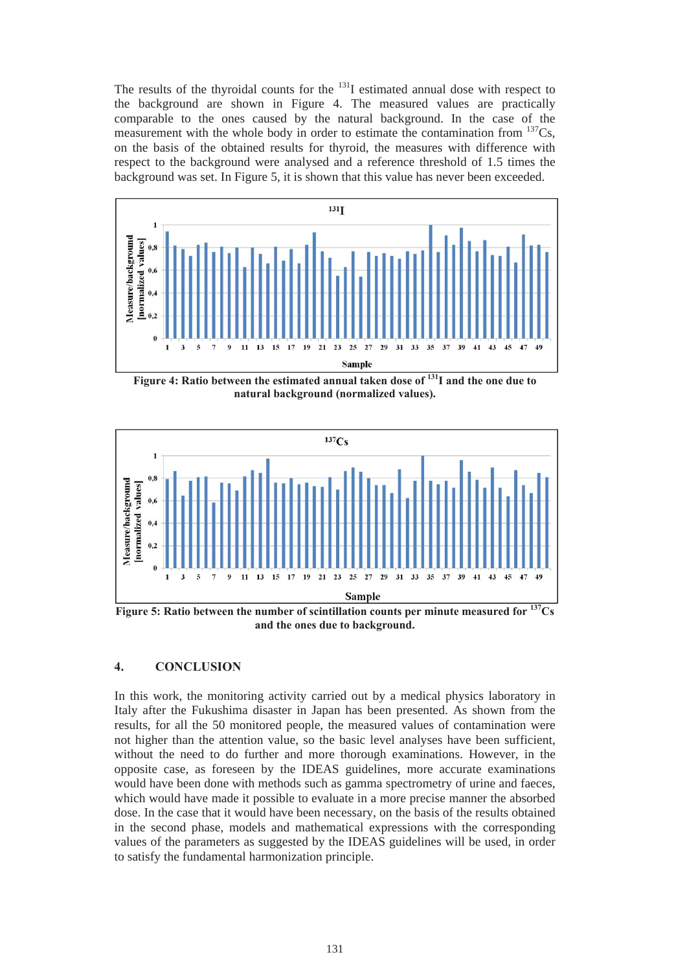The results of the thyroidal counts for the  $131$  estimated annual dose with respect to the background are shown in Figure 4. The measured values are practically comparable to the ones caused by the natural background. In the case of the measurement with the whole body in order to estimate the contamination from  $137Cs$ , on the basis of the obtained results for thyroid, the measures with difference with respect to the background were analysed and a reference threshold of 1.5 times the background was set. In Figure 5, it is shown that this value has never been exceeded.



Figure 4: Ratio between the estimated annual taken dose of <sup>131</sup>I and the one due to **natural background (normalized values).** 



**Figure 5: Ratio between the number of scintillation counts per minute measured for 137Cs and the ones due to background.** 

## **4. CONCLUSION**

In this work, the monitoring activity carried out by a medical physics laboratory in Italy after the Fukushima disaster in Japan has been presented. As shown from the results, for all the 50 monitored people, the measured values of contamination were not higher than the attention value, so the basic level analyses have been sufficient, without the need to do further and more thorough examinations. However, in the opposite case, as foreseen by the IDEAS guidelines, more accurate examinations would have been done with methods such as gamma spectrometry of urine and faeces, which would have made it possible to evaluate in a more precise manner the absorbed dose. In the case that it would have been necessary, on the basis of the results obtained in the second phase, models and mathematical expressions with the corresponding values of the parameters as suggested by the IDEAS guidelines will be used, in order to satisfy the fundamental harmonization principle.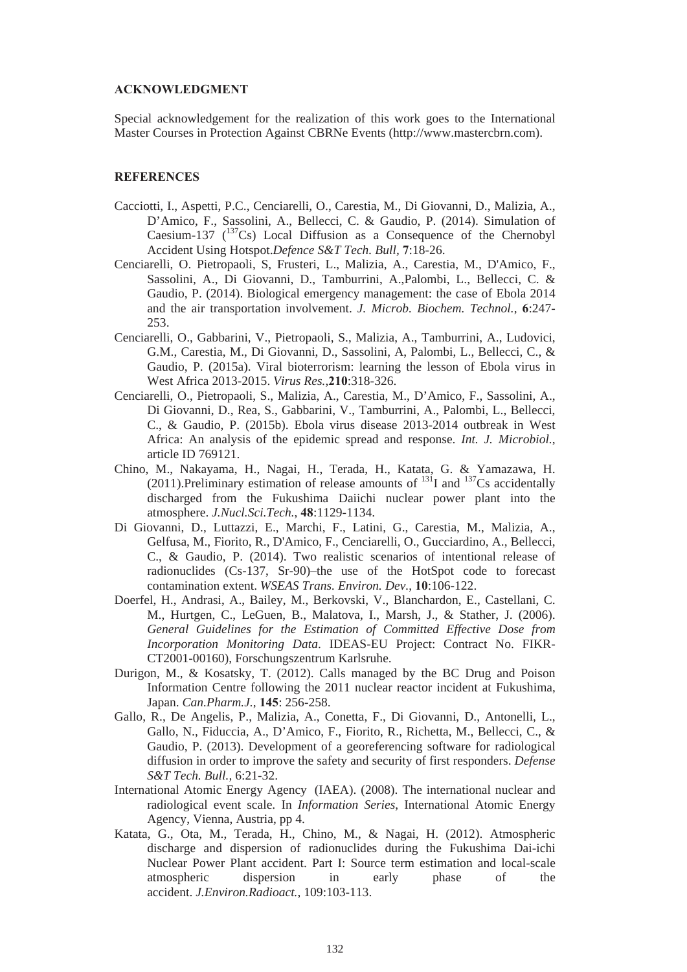### **ACKNOWLEDGMENT**

Special acknowledgement for the realization of this work goes to the International Master Courses in Protection Against CBRNe Events (http://www.mastercbrn.com).

#### **REFERENCES**

- Cacciotti, I., Aspetti, P.C., Cenciarelli, O., Carestia, M., Di Giovanni, D., Malizia, A., D'Amico, F., Sassolini, A., Bellecci, C. & Gaudio, P. (2014). Simulation of Caesium-137 ( $137 \text{Cs}$ ) Local Diffusion as a Consequence of the Chernobyl Accident Using Hotspot.*Defence S&T Tech. Bull,* **7**:18-26.
- Cenciarelli, O. Pietropaoli, S, Frusteri, L., Malizia, A., Carestia, M., D'Amico, F., Sassolini, A., Di Giovanni, D., Tamburrini, A.,Palombi, L., Bellecci, C. & Gaudio, P. (2014). Biological emergency management: the case of Ebola 2014 and the air transportation involvement. *J. Microb. Biochem. Technol.*, **6**:247- 253.
- Cenciarelli, O., Gabbarini, V., Pietropaoli, S., Malizia, A., Tamburrini, A., Ludovici, G.M., Carestia, M., Di Giovanni, D., Sassolini, A, Palombi, L., Bellecci, C., & Gaudio, P. (2015a). Viral bioterrorism: learning the lesson of Ebola virus in West Africa 2013-2015. *Virus Res.*,**210**:318-326.
- Cenciarelli, O., Pietropaoli, S., Malizia, A., Carestia, M., D'Amico, F., Sassolini, A., Di Giovanni, D., Rea, S., Gabbarini, V., Tamburrini, A., Palombi, L., Bellecci, C., & Gaudio, P. (2015b). Ebola virus disease 2013-2014 outbreak in West Africa: An analysis of the epidemic spread and response. *Int. J. Microbiol.*, article ID 769121.
- Chino, M., Nakayama, H., Nagai, H., Terada, H., Katata, G. & Yamazawa, H. (2011). Preliminary estimation of release amounts of  $^{131}I$  and  $^{137}Cs$  accidentally discharged from the Fukushima Daiichi nuclear power plant into the atmosphere. *J.Nucl.Sci.Tech.*, **48**:1129-1134.
- Di Giovanni, D., Luttazzi, E., Marchi, F., Latini, G., Carestia, M., Malizia, A., Gelfusa, M., Fiorito, R., D'Amico, F., Cenciarelli, O., Gucciardino, A., Bellecci, C., & Gaudio, P. (2014). Two realistic scenarios of intentional release of radionuclides (Cs-137, Sr-90)–the use of the HotSpot code to forecast contamination extent. *WSEAS Trans. Environ. Dev.*, **10**:106-122.
- Doerfel, H., Andrasi, A., Bailey, M., Berkovski, V., Blanchardon, E., Castellani, C. M., Hurtgen, C., LeGuen, B., Malatova, I., Marsh, J., & Stather, J. (2006). *General Guidelines for the Estimation of Committed Effective Dose from Incorporation Monitoring Data*. IDEAS-EU Project: Contract No. FIKR-CT2001-00160), Forschungszentrum Karlsruhe.
- Durigon, M., & Kosatsky, T. (2012). Calls managed by the BC Drug and Poison Information Centre following the 2011 nuclear reactor incident at Fukushima, Japan. *Can.Pharm.J.*, **145**: 256-258.
- Gallo, R., De Angelis, P., Malizia, A., Conetta, F., Di Giovanni, D., Antonelli, L., Gallo, N., Fiduccia, A., D'Amico, F., Fiorito, R., Richetta, M., Bellecci, C., & Gaudio, P. (2013). Development of a georeferencing software for radiological diffusion in order to improve the safety and security of first responders. *Defense S&T Tech. Bull.,* 6:21-32.
- International Atomic Energy Agency (IAEA). (2008). The international nuclear and radiological event scale. In *Information Series*, International Atomic Energy Agency, Vienna, Austria, pp 4.
- Katata, G., Ota, M., Terada, H., Chino, M., & Nagai, H. (2012). Atmospheric discharge and dispersion of radionuclides during the Fukushima Dai-ichi Nuclear Power Plant accident. Part I: Source term estimation and local-scale atmospheric dispersion in early phase of the accident. *J.Environ.Radioact.*, 109:103-113.